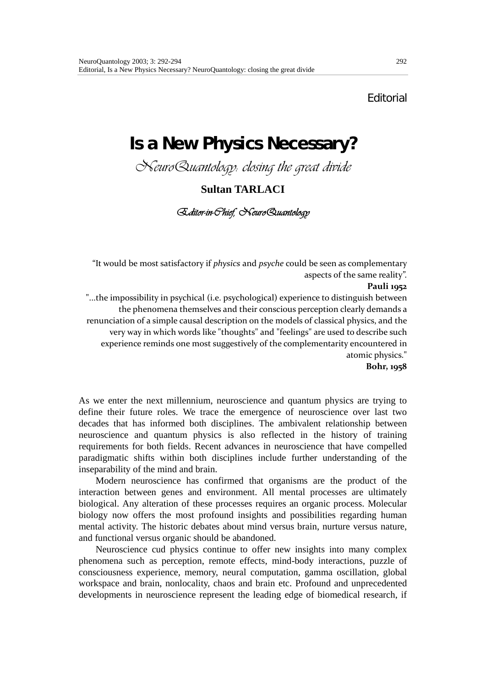## Editorial

# **Is a New Physics Necessary?**

*NeuroQuantology: closing the great divide* 

## **Sultan TARLACI**

*Editor-in-Chief, NeuroQuantology* 

"It would be most satisfactory if *physics* and *psyche* could be seen as complementary aspects of the same reality".

### **Pauli 1952**

"...the impossibility in psychical (i.e. psychological) experience to distinguish between the phenomena themselves and their conscious perception clearly demands a renunciation of a simple causal description on the models of classical physics, and the very way in which words like "thoughts" and "feelings" are used to describe such experience reminds one most suggestively of the complementarity encountered in atomic physics."

**Bohr, 1958**

As we enter the next millennium, neuroscience and quantum physics are trying to define their future roles. We trace the emergence of neuroscience over last two decades that has informed both disciplines. The ambivalent relationship between neuroscience and quantum physics is also reflected in the history of training requirements for both fields. Recent advances in neuroscience that have compelled paradigmatic shifts within both disciplines include further understanding of the inseparability of the mind and brain.

 Modern neuroscience has confirmed that organisms are the product of the interaction between genes and environment. All mental processes are ultimately biological. Any alteration of these processes requires an organic process. Molecular biology now offers the most profound insights and possibilities regarding human mental activity. The historic debates about mind versus brain, nurture versus nature, and functional versus organic should be abandoned.

Neuroscience cud physics continue to offer new insights into many complex phenomena such as perception, remote effects, mind-body interactions, puzzle of consciousness experience, memory, neural computation, gamma oscillation, global workspace and brain, nonlocality, chaos and brain etc. Profound and unprecedented developments in neuroscience represent the leading edge of biomedical research, if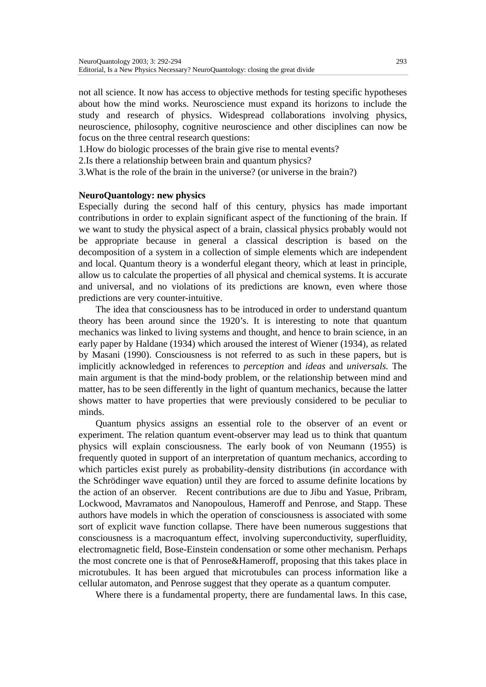not all science. It now has access to objective methods for testing specific hypotheses about how the mind works. Neuroscience must expand its horizons to include the study and research of physics. Widespread collaborations involving physics, neuroscience, philosophy, cognitive neuroscience and other disciplines can now be focus on the three central research questions:

1.How do biologic processes of the brain give rise to mental events?

2.Is there a relationship between brain and quantum physics?

3.What is the role of the brain in the universe? (or universe in the brain?)

#### **NeuroQuantology: new physics**

Especially during the second half of this century, physics has made important contributions in order to explain significant aspect of the functioning of the brain. If we want to study the physical aspect of a brain, classical physics probably would not be appropriate because in general a classical description is based on the decomposition of a system in a collection of simple elements which are independent and local. Quantum theory is a wonderful elegant theory, which at least in principle, allow us to calculate the properties of all physical and chemical systems. It is accurate and universal, and no violations of its predictions are known, even where those predictions are very counter-intuitive.

 The idea that consciousness has to be introduced in order to understand quantum theory has been around since the 1920's. It is interesting to note that quantum mechanics was linked to living systems and thought, and hence to brain science, in an early paper by Haldane (1934) which aroused the interest of Wiener (1934), as related by Masani (1990). Consciousness is not referred to as such in these papers, but is implicitly acknowledged in references to *perception* and *ideas* and *universals.* The main argument is that the mind-body problem, or the relationship between mind and matter, has to be seen differently in the light of quantum mechanics, because the latter shows matter to have properties that were previously considered to be peculiar to minds.

 Quantum physics assigns an essential role to the observer of an event or experiment. The relation quantum event-observer may lead us to think that quantum physics will explain consciousness. The early book of von Neumann (1955) is frequently quoted in support of an interpretation of quantum mechanics, according to which particles exist purely as probability-density distributions (in accordance with the Schrödinger wave equation) until they are forced to assume definite locations by the action of an observer. Recent contributions are due to Jibu and Yasue, Pribram, Lockwood, Mavramatos and Nanopoulous, Hameroff and Penrose, and Stapp. These authors have models in which the operation of consciousness is associated with some sort of explicit wave function collapse. There have been numerous suggestions that consciousness is a macroquantum effect, involving superconductivity, superfluidity, electromagnetic field, Bose-Einstein condensation or some other mechanism. Perhaps the most concrete one is that of Penrose&Hameroff, proposing that this takes place in microtubules. It has been argued that microtubules can process information like a cellular automaton, and Penrose suggest that they operate as a quantum computer.

Where there is a fundamental property, there are fundamental laws. In this case,